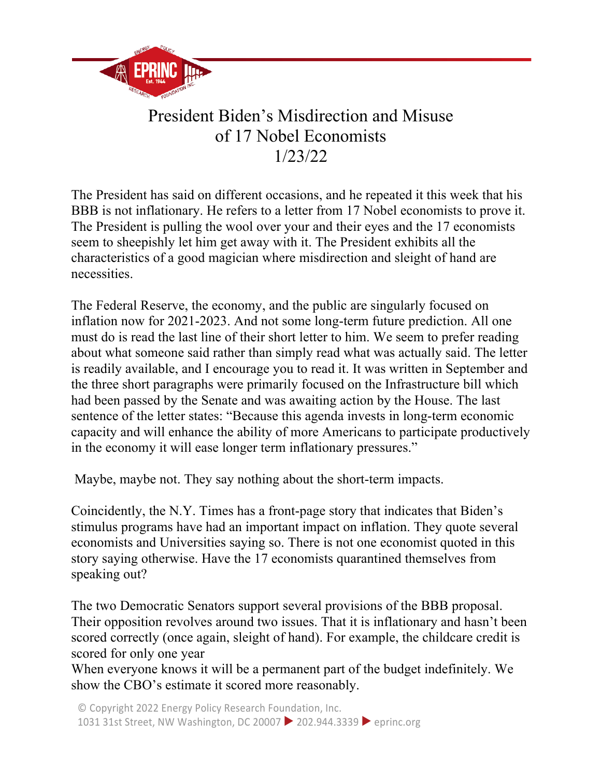

## President Biden's Misdirection and Misuse of 17 Nobel Economists 1/23/22

The President has said on different occasions, and he repeated it this week that his BBB is not inflationary. He refers to a letter from 17 Nobel economists to prove it. The President is pulling the wool over your and their eyes and the 17 economists seem to sheepishly let him get away with it. The President exhibits all the characteristics of a good magician where misdirection and sleight of hand are necessities.

The Federal Reserve, the economy, and the public are singularly focused on inflation now for 2021-2023. And not some long-term future prediction. All one must do is read the last line of their short letter to him. We seem to prefer reading about what someone said rather than simply read what was actually said. The letter is readily available, and I encourage you to read it. It was written in September and the three short paragraphs were primarily focused on the Infrastructure bill which had been passed by the Senate and was awaiting action by the House. The last sentence of the letter states: "Because this agenda invests in long-term economic capacity and will enhance the ability of more Americans to participate productively in the economy it will ease longer term inflationary pressures."

Maybe, maybe not. They say nothing about the short-term impacts.

Coincidently, the N.Y. Times has a front-page story that indicates that Biden's stimulus programs have had an important impact on inflation. They quote several economists and Universities saying so. There is not one economist quoted in this story saying otherwise. Have the 17 economists quarantined themselves from speaking out?

The two Democratic Senators support several provisions of the BBB proposal. Their opposition revolves around two issues. That it is inflationary and hasn't been scored correctly (once again, sleight of hand). For example, the childcare credit is scored for only one year

When everyone knows it will be a permanent part of the budget indefinitely. We show the CBO's estimate it scored more reasonably.